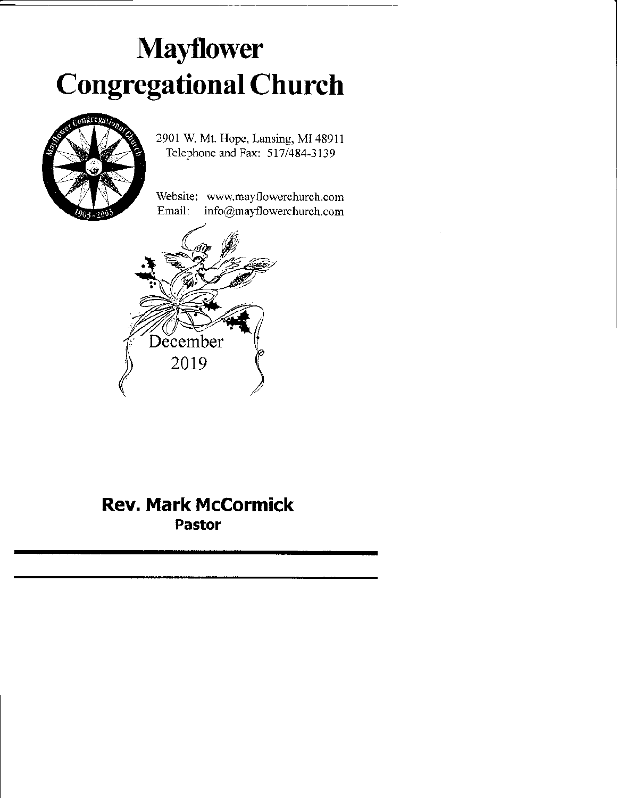# Mayflower Congregational Church



2901 W. Mt. Hope, Lansing, MI 48911 Telephone and Fax: 5I7/484-3139

Website: www.mayflowerchurch.com Email: info@mayflowerchurch.com



## Rev. Mark McCormick Pastor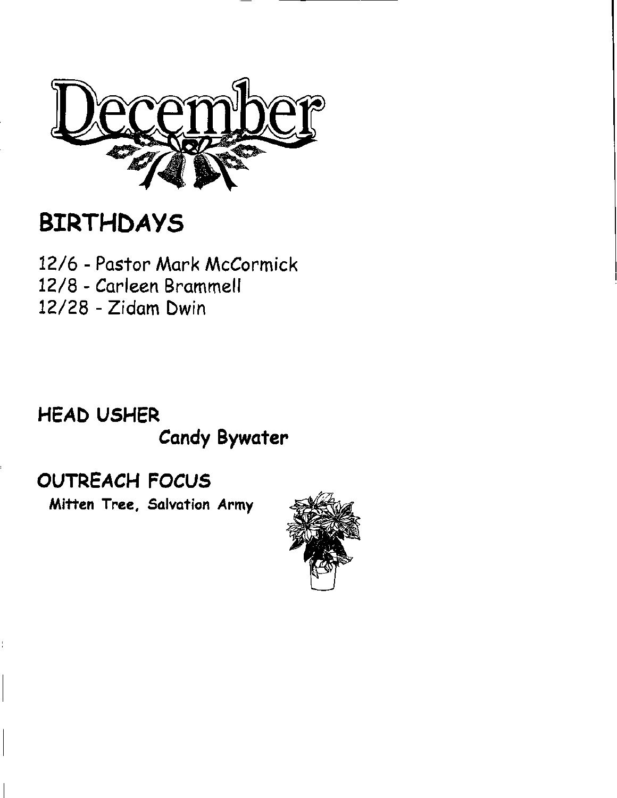

## BIRTHDAYS

12/6 - Pastor Mork McCormick 72/8 - Carleen Brommell t2/28 - Zidom Dwin

## HEAD USHER **Candy Bywater**

## OUTREACH FOCVS

Mitten Tree, Salvation Army

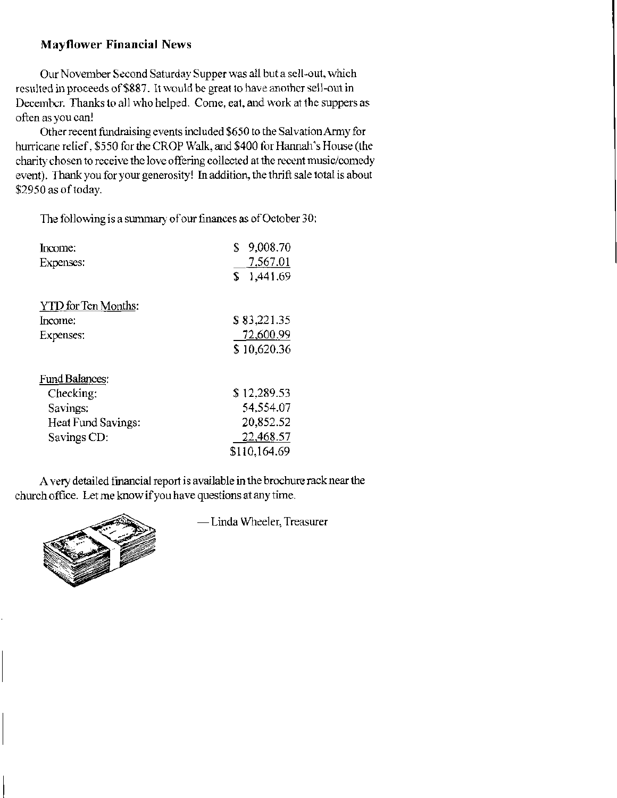### **Mayflower Financial News**

Our November Second Saturday Supper was all but a sell-out, which resulted in proceeds of \$887. It would be great to have another sell-out in December. Thanks to all who helped. Come, eat, and work at the suppers as often as you can!

Other recent fundraising events included \$650 to the Salvation Army for hurricane relief, \$550 for the CROP Walk, and \$400 for Hannah's House (the charity chosen to receive the love offering collected at the recent music/comedy event). Thank you for your generosity! In addition, the thrift sale total is about \$2950 as of today.

The following is a summary of our finances as of October 30:

| Income:               | 9,008.70<br>\$ |
|-----------------------|----------------|
| Expenses:             | 7,567.01       |
|                       | 1,441.69<br>S  |
| YTD for Ten Months:   |                |
| Income:               | \$83,221.35    |
| Expenses:             | 72,600.99      |
|                       | \$10,620.36    |
| <b>Fund Balances:</b> |                |
| Checking:             | \$12,289.53    |
| Savings:              | 54.554.07      |
| Heat Fund Savings:    | 20,852.52      |
| Savings CD:           | 22,468.57      |
|                       | \$110.164.69   |

A very detailed financial report is available in the brochure rack near the church office. Let me know if you have questions at any time.



- Linda Wheeler, Treasurer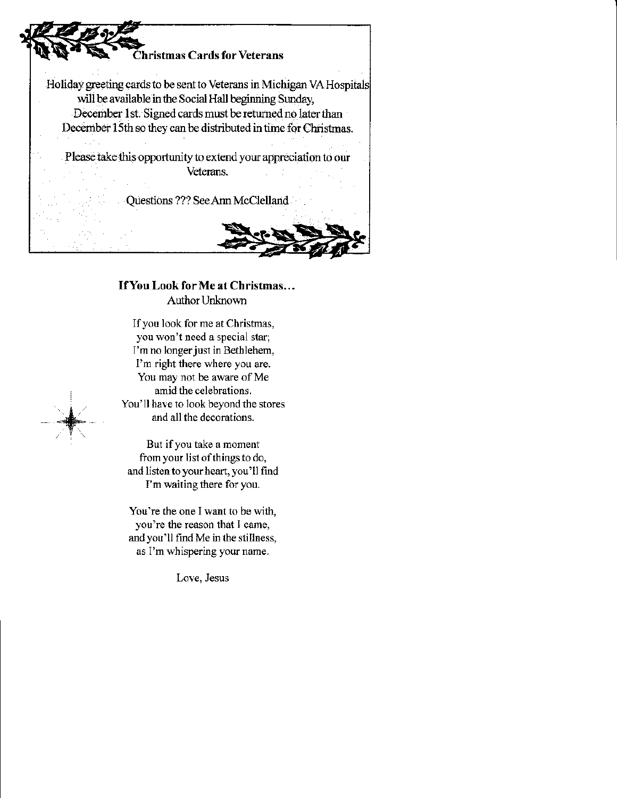

### IfYou Look for Me at Christmas... Author Unknown

Ifyou look for me at Christmas, you won't need a special star; I'm no longer just in Bethlehem, l'm right there where you are. You may not be aware of Me amid the celebrations. You'll have to look beyond the stores and all the decorations.

But ifyou take a moment from your list of things to do, and Iisten to your heart, you'Il find I'm waiting there for you.

I -&

> You're the one I want to be with, you're the reason that I came, and you'll find Me in the stillness, as I'm thispering your name.

> > Love, Jesus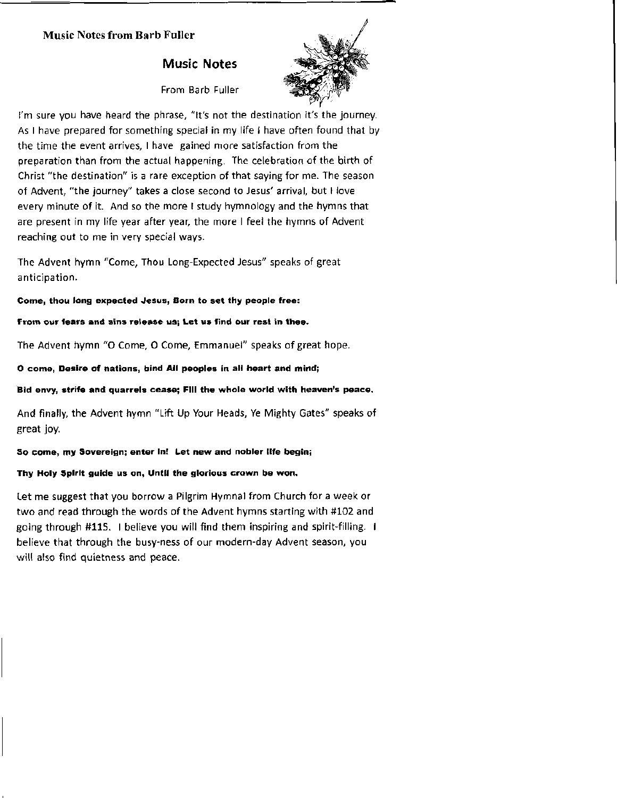#### **Music Notes from Barb Fuller**

### **Music Notes**

From Barb Fuller



I'm sure you have heard the phrase, "It's not the destination it's the journey. As I have prepared for something special in my life I have often found that by the time the event arrives, I have gained more satisfaction from the preparation than from the actual happening. The celebration of the birth of Christ "the destination" is a rare exception of that saying for me. The season of Advent, "the journey" takes a close second to Jesus' arrival, but I love every minute of it. And so the more I study hymnology and the hymns that are present in my life year after year, the more I feel the hymns of Advent reaching out to me in very special ways.

The Advent hymn "Come, Thou Long-Expected Jesus" speaks of great anticipation.

Come, thou long expected Jesus, Born to set thy people free:

From our fears and sins release us; Let us find our rest in thee.

The Advent hymn "O Come, O Come, Emmanuel" speaks of great hope.

O come, Desire of nations, bind All peoples in all heart and mind;

Bid envy, strife and quarrels cease; Fill the whole world with heaven's peace.

And finally, the Advent hymn "Lift Up Your Heads, Ye Mighty Gates" speaks of great joy.

#### So come, my Sovereign; enter In! Let new and nobler life begin;

Thy Holy Spirit guide us on, Until the glorious crown be won,

Let me suggest that you borrow a Pilgrim Hymnal from Church for a week or two and read through the words of the Advent hymns starting with #102 and going through #115. I believe you will find them inspiring and spirit-filling. I believe that through the busy-ness of our modern-day Advent season, you will also find quietness and peace.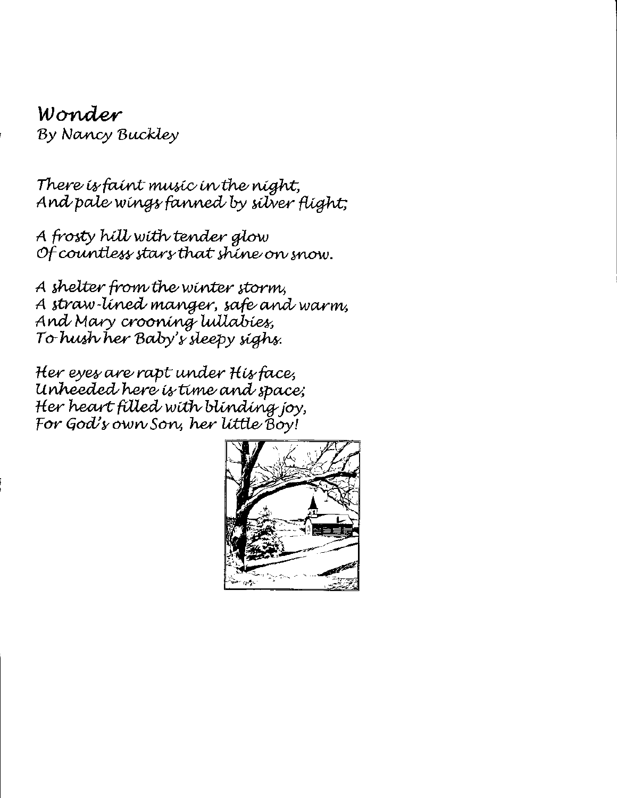## Wond*er* By Nancy Buckley

There is faint music in the night, And pale wings fanned by silver flight;

A frosty hill with tender glow Of countless stars that shine on snow.

A shelter from the winter storm, A straw-lined manger, safe and warm, And Mary crooning lullabies, To hush her Baby's sleepy sighs.

Her eyes are rapt under His face, Unheeded here is time and space; Her heart filled with blinding joy, For God's own Son, her little Boy!

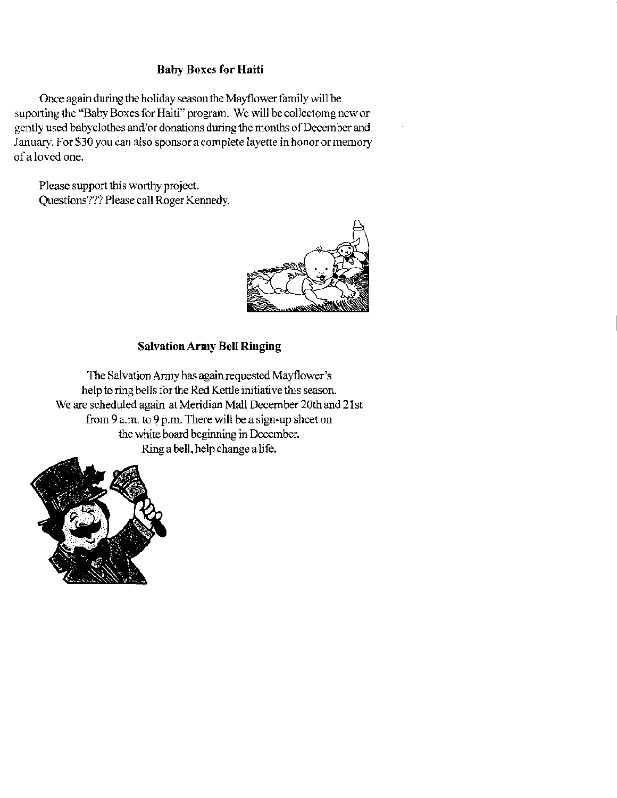### Baby Boxes for Haiti

Once again during the holiday season the Mayflower family will be suporting the "Baby Boxes for Haiti" program. We will be collectomg new or gently used babyclothes and/or donations during the months of December and January. For \$30 you can also sponsor a complete layette in honor or memory of a loved one.

Please support this worthy project. Questions??? Please call Roger Kennedy.



### SalvationArmy Bell Ringing

The Salvation Army has again requested Mayflower's help to ring bells for the Red Ketlle initiative this season. We are scheduled again at Meridian Mall December 20th and 21st from 9 a.m. to 9 p.m. There will be a sign-up sheet on the white board begiming in December Ring a bell, help change a life.

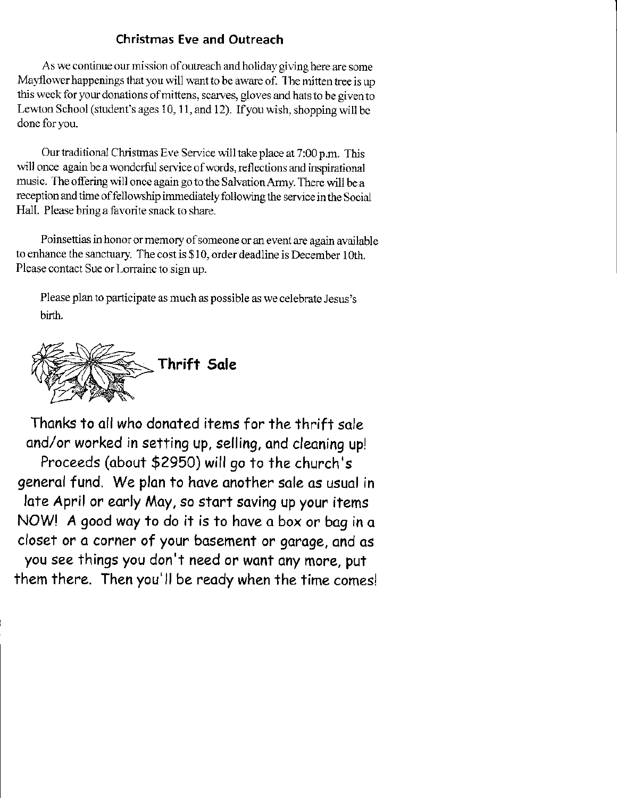## Christmas Eve and Outreach

As we continue our mission of outreach and holiday giving here are some Mayflower happenings that you will want to be aware of. The mitten tree is up this week for your donations of mittens, scarves, gloves and hats to be given to Lewton School (student's ages 10, 11, and 12). If you wish, shopping will be done for you.

Our traditional Christmas Eve Service will take place at 7:00 p.m. This will once again be a wonderful service of words, reflections and inspirational music. The offering will once again go to the Salvation Army. There will be a reception and time of fellowship immediately following the service in the Social Hall. Please bring a favorite snack to share.

Poinsettias in honor or memory of someone or an event are again available to enhance the sanctuary. The cost is \$ I 0, order deadline is December 1 oth. Please contact Sue or Lorraine to sign up.

Please plan to participate as much as possible as we celebrate Jesus's birth.



Thanks to all who donated items for the thrift sale and/or worked in setting up, selling, and cleaning up! Proceeds (obout \$2950) will go to the church's general fund. We plan to have another sale as usual in late April or early May, so start saving up your items NOW! A good way to do it is to have a box or bag in a closet or a corner of your basement or garage, and as you see things you don't need or want any more, put them there. Then you'll be ready when the time comes!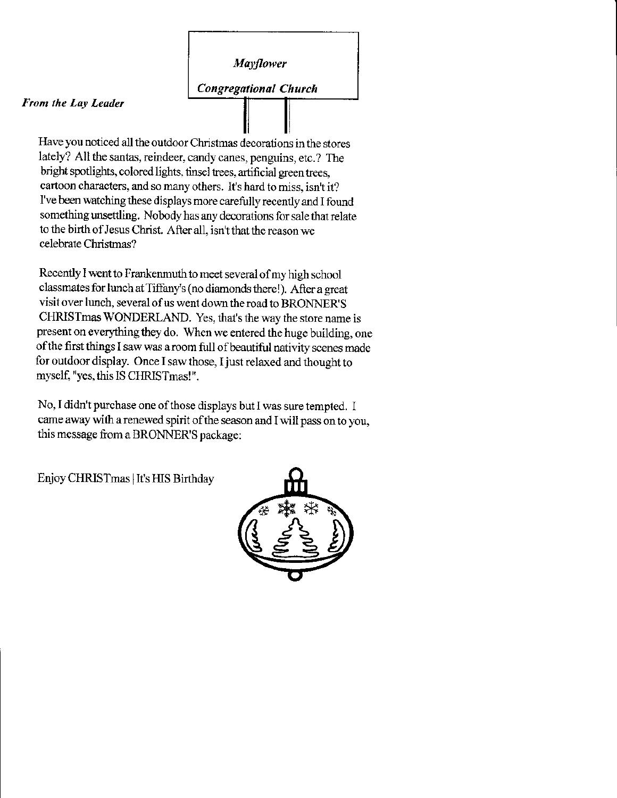**Mayflower** 

**Congregational Church** 

#### From the Lay Leader

Have you noticed all the outdoor Christmas decorations in the stores lately? All the santas, reindeer, candy canes, penguins, etc.? The bright spotlights, colored lights, tinsel trees, artificial green trees, cartoon characters, and so many others. It's hard to miss, isn't it? I've been watching these displays more carefully recently and I found something unsettling. Nobody has any decorations for sale that relate to the birth of Jesus Christ. After all, isn't that the reason we celebrate Christmas?

Recently I went to Frankenmuth to meet several of my high school classmates for lunch at Tiffany's (no diamonds there!). After a great visit over lunch, several of us went down the road to BRONNER'S CHRISTmas WONDERLAND. Yes, that's the way the store name is present on everything they do. When we entered the huge building, one of the first things I saw was a room full of beautiful nativity scenes made for outdoor display. Once I saw those, I just relaxed and thought to myself, "yes, this IS CHRISTmas!".

No, I didn't purchase one of those displays but I was sure tempted. I came away with a renewed spirit of the season and I will pass on to you, this message from a BRONNER'S package:

Enjoy CHRISTmas | It's HIS Birthday

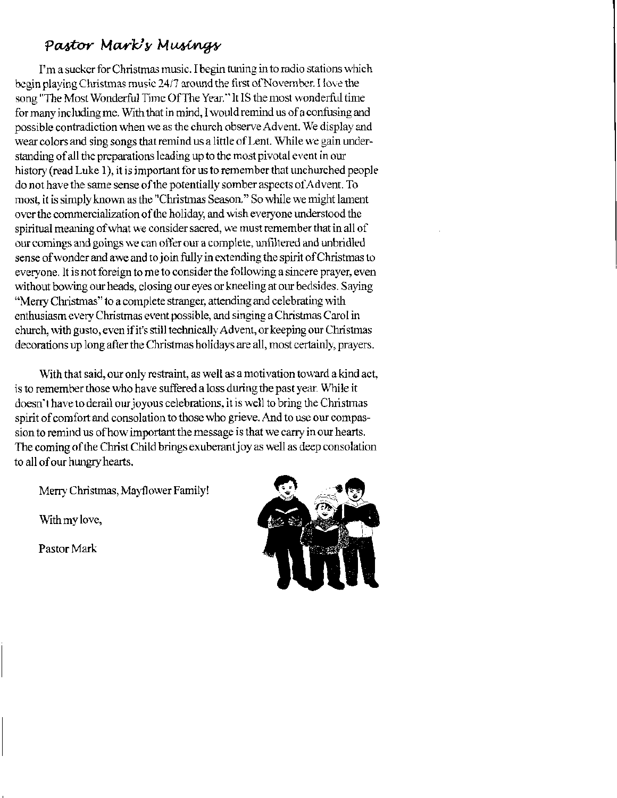## Pastor Mark's Musings

I'm a sucker for Christmas music. I begin tuning in to radio stations which begin playing Christmas music 24/7 around the first of November. I love the song "The Most Wonderful Time Of The Year." It IS the most wonderful time for many including me. With that in mind, I would remind us of a confusing and possible contradiction when we as the church observe Advent. We display and wear colors and sing songs that remind us a little of Lent. While we gain understanding of all the preparations leading up to the most pivotal event in our history (read Luke 1), it is important for us to remember that unchurched people do not have the same sense of the potentially somber aspects of Advent. To most, it is simply known as the "Christmas Season." So while we might lament over the commercialization of the holiday, and wish everyone understood the spiritual meaning of what we consider sacred, we must remember that in all of our comings and goings we can offer our a complete, unfiltered and unbridled sense of wonder and awe and to join fully in extending the spirit of Christmas to everyone. It is not foreign to me to consider the following a sincere prayer, even without bowing our heads, closing our eyes or kneeling at our bedsides. Saying "Merry Christmas" to a complete stranger, attending and celebrating with enthusiasm every Christmas event possible, and singing a Christmas Carol in church, with gusto, even if it's still technically Advent, or keeping our Christmas decorations up long after the Christmas holidays are all, most certainly, prayers.

With that said, our only restraint, as well as a motivation toward a kind act. is to remember those who have suffered a loss during the past year. While it doesn't have to derail our joyous celebrations, it is well to bring the Christmas spirit of comfort and consolation to those who grieve. And to use our compassion to remind us of how important the message is that we carry in our hearts. The coming of the Christ Child brings exuberant joy as well as deep consolation to all of our hungry hearts.

Merry Christmas, Mayflower Family!

With my love,

Pastor Mark